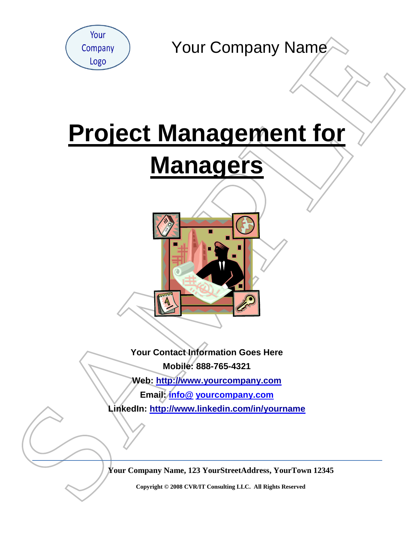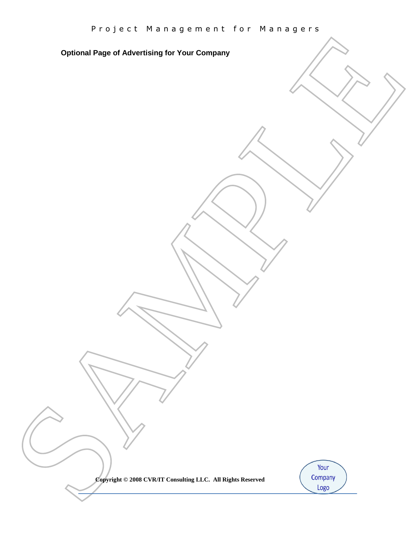SAMPLE **Optional Page of Advertising for Your Company**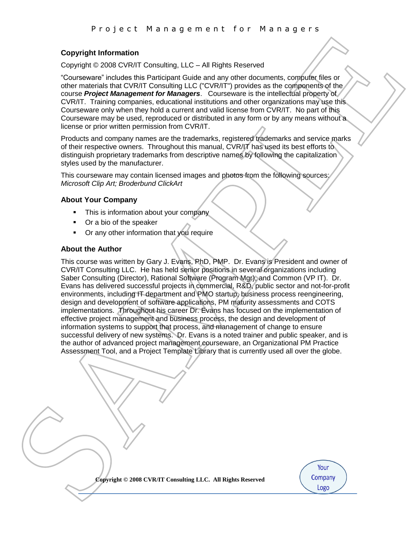## **Copyright Information**

Copyright © 2008 CVR/IT Consulting, LLC – All Rights Reserved

"Courseware" includes this Participant Guide and any other documents, computer files or other materials that CVR/IT Consulting LLC ("CVR/IT") provides as the components of the course *Project Management for Managers*. Courseware is the intellectual property of CVR/IT. Training companies, educational institutions and other organizations may use this Courseware only when they hold a current and valid license from CVR/IT. No part of this Courseware may be used, reproduced or distributed in any form or by any means without a license or prior written permission from CVR/IT.

Products and company names are the trademarks, registered trademarks and service marks of their respective owners. Throughout this manual, CVR/IT has used its best efforts to distinguish proprietary trademarks from descriptive names by following the capitalization styles used by the manufacturer.

This courseware may contain licensed images and photos from the following sources: *Microsoft Clip Art; Broderbund ClickArt* 

### **About Your Company**

- This is information about your company
- Or a bio of the speaker
- **•** Or any other information that you require

### **About the Author**

Comparison that the real of the state of the state of the state of the state of the state of the state of the state of the state of the state of the state of the state of the state of the state of the state of the state o This course was written by Gary J. Evans, PhD, PMP. Dr. Evans is President and owner of CVR/IT Consulting LLC. He has held senior positions in several organizations including Saber Consulting (Director), Rational Software (Program Mgr), and Common (VP IT). Dr. Evans has delivered successful projects in commercial, R&D, public sector and not-for-profit environments, including IT department and PMO startup, business process reengineering, design and development of software applications, PM maturity assessments and COTS implementations. Throughout his career Dr. Evans has focused on the implementation of effective project management and business process, the design and development of information systems to support that process, and management of change to ensure successful delivery of new systems. Dr. Evans is a noted trainer and public speaker, and is the author of advanced project management courseware, an Organizational PM Practice Assessment Tool, and a Project Template Library that is currently used all over the globe.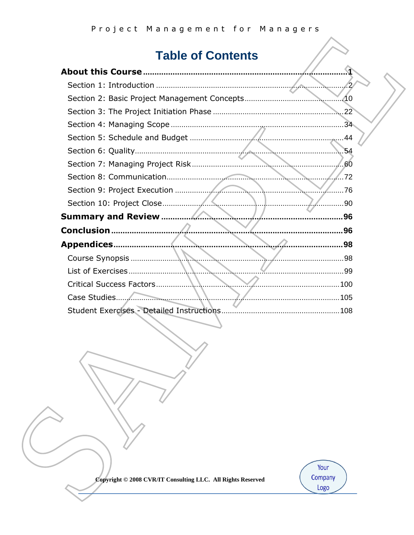# **Table of Contents**

|                                                  | $\mathcal{P}$ |
|--------------------------------------------------|---------------|
|                                                  | .10           |
|                                                  | 22            |
|                                                  | 34            |
| Section 5: Schedule and Budget<br>$\triangle$ 44 |               |
| .54                                              |               |
| .60                                              |               |
| Section 8: Communication                         | .72           |
| Section 9: Project Execution                     | 76            |
| Section 10: Project Close                        | 90            |
| <b>Summary and Review</b>                        | 96            |
| <b>Conclusion </b><br>96                         |               |
| Appendices<br>98                                 |               |
| . 98<br>Course Synopsis                          |               |
| List of Exercises<br>. 99                        |               |
| Critical Success Factors                         |               |
|                                                  |               |
| <b>Student Exercises - Detailed Instructions</b> |               |

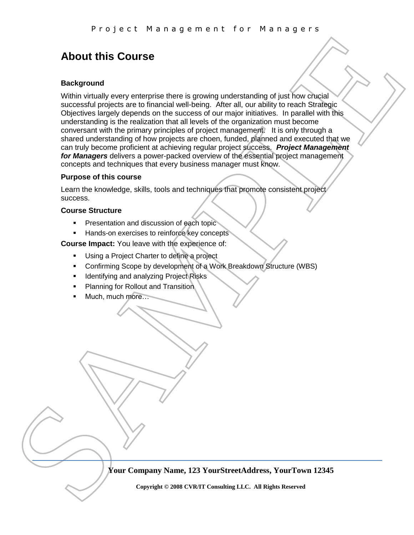# <span id="page-4-0"></span>**About this Course**

### **Background**

Fix of yet C. Pin at it is yet the site of your distribution of the site of the site of the site of the site of the site of the site of the site of the site of the site of the site of the site of the site of the site of t Within virtually every enterprise there is growing understanding of just how crucial successful projects are to financial well-being. After all, our ability to reach Strategic Objectives largely depends on the success of our major initiatives. In parallel with this understanding is the realization that all levels of the organization must become conversant with the primary principles of project management. It is only through a shared understanding of how projects are choen, funded, planned and executed that we can truly become proficient at achieving regular project success. *Project Management for Managers* delivers a power-packed overview of the essential project management concepts and techniques that every business manager must know.

#### **Purpose of this course**

Learn the knowledge, skills, tools and techniques that promote consistent project success.

#### **Course Structure**

- Presentation and discussion of each topic
- Hands-on exercises to reinforce key concepts

**Course Impact:** You leave with the experience of:

- **Using a Project Charter to define a project**
- Confirming Scope by development of a Work Breakdown Structure (WBS)
- **IDENTIFY** Identifying and analyzing Project Risks
- **Planning for Rollout and Transition**
- Much, much more…

**Your Company Name, 123 YourStreetAddress, YourTown 12345**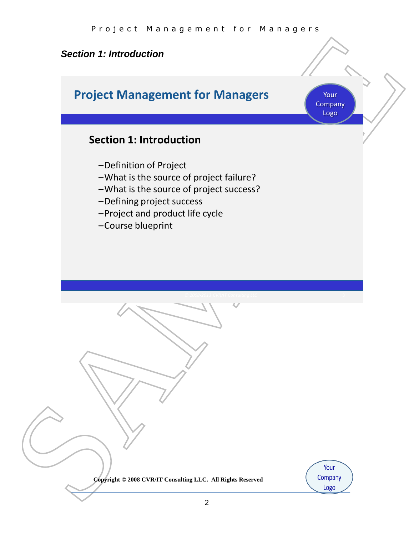# <span id="page-5-0"></span>*Section 1: Introduction*

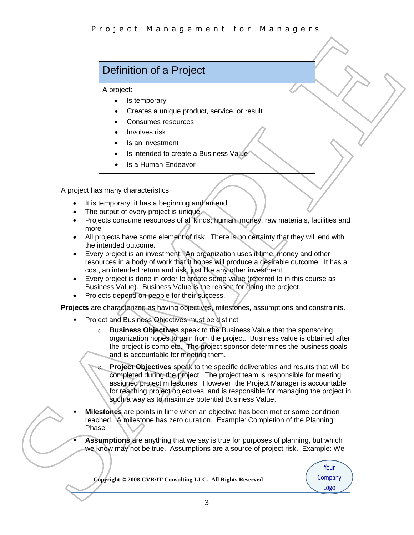# Definition of a Project

A project:

- Is temporary
- Creates a unique product, service, or result
- Consumes resources
- Involves risk
- Is an investment
- Is intended to create a Business Value
- Is a Human Endeavor

A project has many characteristics:

- It is temporary: it has a beginning and an end
- The output of every project is unique.
- Projects consume resources of all kinds; human, money, raw materials, facilities and more
- All projects have some element of risk. There is no certainty that they will end with the intended outcome.
- Every project is an investment. An organization uses it time, money and other resources in a body of work that it hopes will produce a desirable outcome. It has a cost, an intended return and risk, just like any other investment.
- Every project is done in order to create some value (referred to in this course as Business Value). Business Value is the reason for doing the project.
- Projects depend on people for their success.

**Projects** are characterized as having objectives, milestones, assumptions and constraints.

- Project and Business Objectives must be distinct
	- o **Business Objectives** speak to the Business Value that the sponsoring organization hopes to gain from the project. Business value is obtained after the project is complete. The project sponsor determines the business goals and is accountable for meeting them.
- **Purplet the air and yet metric 101** Parameterize and the state of the state of the state of the state of the state of the state of the state of the state of the state of the state of the state of the state of the state o **Project Objectives** speak to the specific deliverables and results that will be completed during the project. The project team is responsible for meeting assigned project milestones. However, the Project Manager is accountable for reaching project objectives, and is responsible for managing the project in such a way as to maximize potential Business Value.
	- **Milestones** are points in time when an objective has been met or some condition reached. A milestone has zero duration. Example: Completion of the Planning Phase
	- **Assumptions** are anything that we say is true for purposes of planning, but which we know may not be true. Assumptions are a source of project risk. Example: We

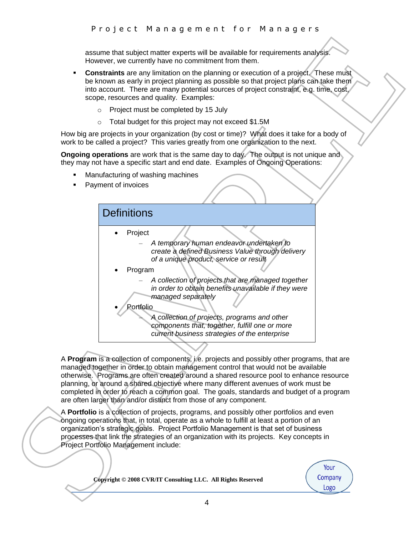assume that subject matter experts will be available for requirements analysis. However, we currently have no commitment from them.

- **Constraints** are any limitation on the planning or execution of a project. These must be known as early in project planning as possible so that project plans can take them into account. There are many potential sources of project constraint, e.g. time, cost, scope, resources and quality. Examples:
	- o Project must be completed by 15 July
	- o Total budget for this project may not exceed \$1.5M

How big are projects in your organization (by cost or time)? What does it take for a body of work to be called a project? This varies greatly from one organization to the next.

**Ongoing operations** are work that is the same day to day. The output is not unique and they may not have a specific start and end date. Examples of Ongoing Operations:

- Manufacturing of washing machines
- Payment of invoices



A **Program** is a collection of components, i.e. projects and possibly other programs, that are managed together in order to obtain management control that would not be available otherwise. Programs are often created around a shared resource pool to enhance resource planning, or around a shared objective where many different avenues of work must be completed in order to reach a common goal. The goals, standards and budget of a program are often larger than and/or distinct from those of any component.

A **Portfolio** is a collection of projects, programs, and possibly other portfolios and even ongoing operations that, in total, operate as a whole to fulfill at least a portion of an organization's strategic goals. Project Portfolio Management is that set of business processes that link the strategies of an organization with its projects. Key concepts in Project Portfolio Management include:

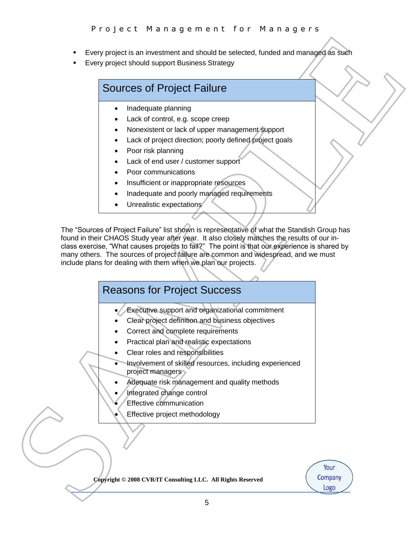- Every project is an investment and should be selected, funded and managed as such
- Every project should support Business Strategy

# Sources of Project Failure

- Inadequate planning
- Lack of control, e.g. scope creep
- Nonexistent or lack of upper management support
- Lack of project direction; poorly defined project goals
- Poor risk planning
- Lack of end user / customer support
- Poor communications
- Insufficient or inappropriate resources
- Inadequate and poorly managed requirements
- Unrealistic expectations

Find the state of the state of the state of the state of the state of the state of the state of the state of the state of the state of the state of the state of the state of the state of the state of the state of the stat The "Sources of Project Failure" list shown is representative of what the Standish Group has found in their CHAOS Study year after year. It also closely matches the results of our inclass exercise, "What causes projects to fail?" The point is that our experience is shared by many others. The sources of project failure are common and widespread, and we must include plans for dealing with them when we plan our projects.

# Reasons for Project Success

- Executive support and organizational commitment
- Clear project definition and business objectives
- Correct and complete requirements
- Practical plan and realistic expectations
- Clear roles and responsibilities
- Involvement of skilled resources, including experienced project managers
- Adequate risk management and quality methods
- Integrated change control
- Effective communication
- Effective project methodology

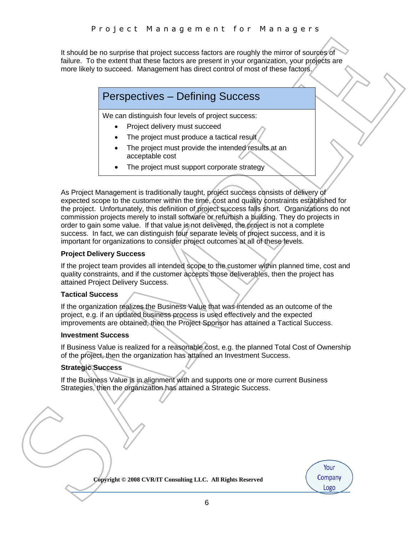It should be no surprise that project success factors are roughly the mirror of sources of failure. To the extent that these factors are present in your organization, your projects are more likely to succeed. Management has direct control of most of these factors.

# Perspectives – Defining Success

We can distinguish four levels of project success:

- Project delivery must succeed
- The project must produce a tactical result
- The project must provide the intended results at an acceptable cost
- The project must support corporate strategy

Evaluation in the same of the same of the same of the same of the same of the same of the same of the same of the same of the same of the same of the same of the same of the same of the same of the same of the same of the As Project Management is traditionally taught, project success consists of delivery of expected scope to the customer within the time, cost and quality constraints established for the project. Unfortunately, this definition of project success falls short. Organizations do not commission projects merely to install software or refurbish a building. They do projects in order to gain some value. If that value is not delivered, the project is not a complete success. In fact, we can distinguish four separate levels of project success, and it is important for organizations to consider project outcomes at all of these levels.

#### **Project Delivery Success**

If the project team provides all intended scope to the customer within planned time, cost and quality constraints, and if the customer accepts those deliverables, then the project has attained Project Delivery Success.

#### **Tactical Success**

If the organization realizes the Business Value that was intended as an outcome of the project, e.g. if an updated business process is used effectively and the expected improvements are obtained, then the Project Sponsor has attained a Tactical Success.

#### **Investment Success**

If Business Value is realized for a reasonable cost, e.g. the planned Total Cost of Ownership of the project, then the organization has attained an Investment Success.

### **Strategic Success**

If the Business Value is in alignment with and supports one or more current Business Strategies, then the organization has attained a Strategic Success.

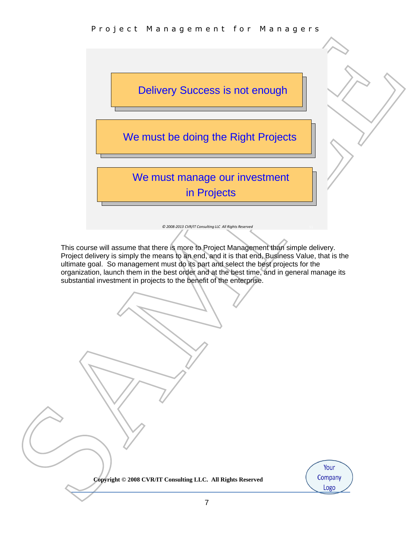

*© 2008-2013 CVR/IT Consulting LLC All Rights Reserved*

This course will assume that there is more to Project Management than simple delivery. Project delivery is simply the means to an end, and it is that end, Business Value, that is the ultimate goal. So management must do its part and select the best projects for the organization, launch them in the best order and at the best time, and in general manage its substantial investment in projects to the benefit of the enterprise.

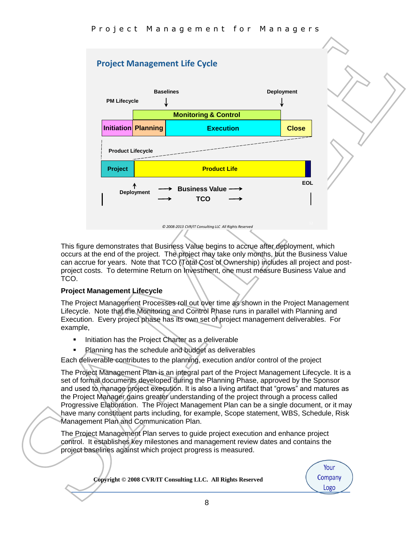# **Project Management Life Cycle**



*© 2008-2013 CVR/IT Consulting LLC All Rights Reserved*

This figure demonstrates that Business Value begins to accrue after deployment, which occurs at the end of the project. The project may take only months, but the Business Value can accrue for years. Note that TCO (Total Cost of Ownership) includes all project and postproject costs. To determine Return on Investment, one must measure Business Value and TCO.

### **Project Management Lifecycle**

The Project Management Processes roll out over time as shown in the Project Management Lifecycle. Note that the Monitoring and Control Phase runs in parallel with Planning and Execution. Every project phase has its own set of project management deliverables. For example,

- **Initiation has the Project Charter as a deliverable**
- Planning has the schedule and budget as deliverables

Each deliverable contributes to the planning, execution and/or control of the project

The Project Management Plan is an integral part of the Project Management Lifecycle. It is a set of formal documents developed during the Planning Phase, approved by the Sponsor and used to manage project execution. It is also a living artifact that "grows" and matures as the Project Manager gains greater understanding of the project through a process called Progressive Elaboration. The Project Management Plan can be a single document, or it may have many constituent parts including, for example, Scope statement, WBS, Schedule, Risk Management Plan and Communication Plan.

The Project Management Plan serves to guide project execution and enhance project control. It establishes key milestones and management review dates and contains the project baselines against which project progress is measured.